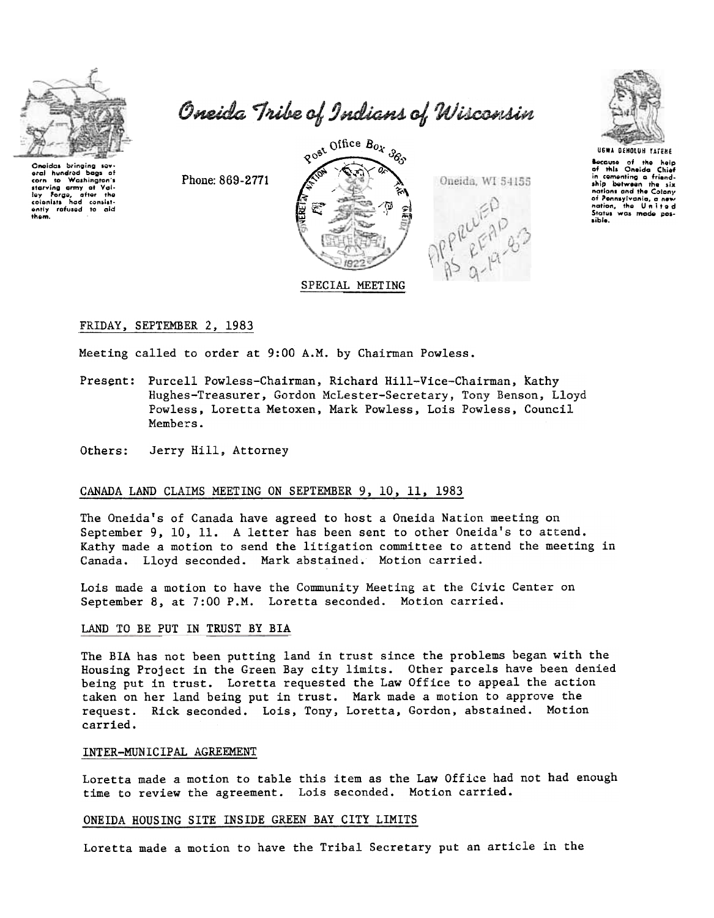

corn to Washington's

ley forge, after the<br>cooniats had consistently refused to aid<br>them.

baas of

eral hundred

Oneida Tribe of Indians of Wisconsin



Because of the help<br>of this Oneida Chief in comenting a friend-<br>ship between the six nations and the Colony of Pennsylvania, a new Status was made possible.

Phone: 869-2771



Meeting called to order at 9:00 A.M. by Chairman Powless.

Present: Purcell Powless-Chairman, Richard Hill-Vice-Chairman, Kathy Hughes-Treasurer, Gordon McLester-Secretary, Tony Benson, Lloyd Powless, Loretta Metoxen, Mark Powless, Lois Powless, Council Members.

Jerry Hill, Attorney Others:

### CANADA LAND CLAIMS MEETING ON SEPTEMBER 9, 10, 11, 1983

The Oneida's of Canada have agreed to host a Oneida Nation meeting on September 9, 10, 11. A letter has been sent to other Oneida's to attend. Kathy made a motion to send the litigation committee to attend the meeting in Canada. Lloyd seconded. Mark abstained. Motion carried.

Lois made a motion to have the Community Meeting at the Civic Center on September 8, at 7:00 P.M. Loretta seconded. Motion carried.

## LAND TO BE PUT IN TRUST BY BIA

The BIA has not been putting land in trust since the problems began with the Housing Project in the Green Bay city limits. Other parcels have been denied being put in trust. Loretta requested the Law Office to appeal the action taken on her land being put in trust. Mark made a motion to approve the request. Rick seconded. Lois, Tony, Loretta, Gordon, abstained. Motion carried.

### INTER-MUNICIPAL AGREEMENT

Loretta made a motion to table this item as the Law Office had not had enough time to review the agreement. Lois seconded. Motion carried.

#### ONEIDA HOUSING SITE INSIDE GREEN BAY CITY LIMITS

Loretta made a motion to have the Tribal Secretary put an article in the

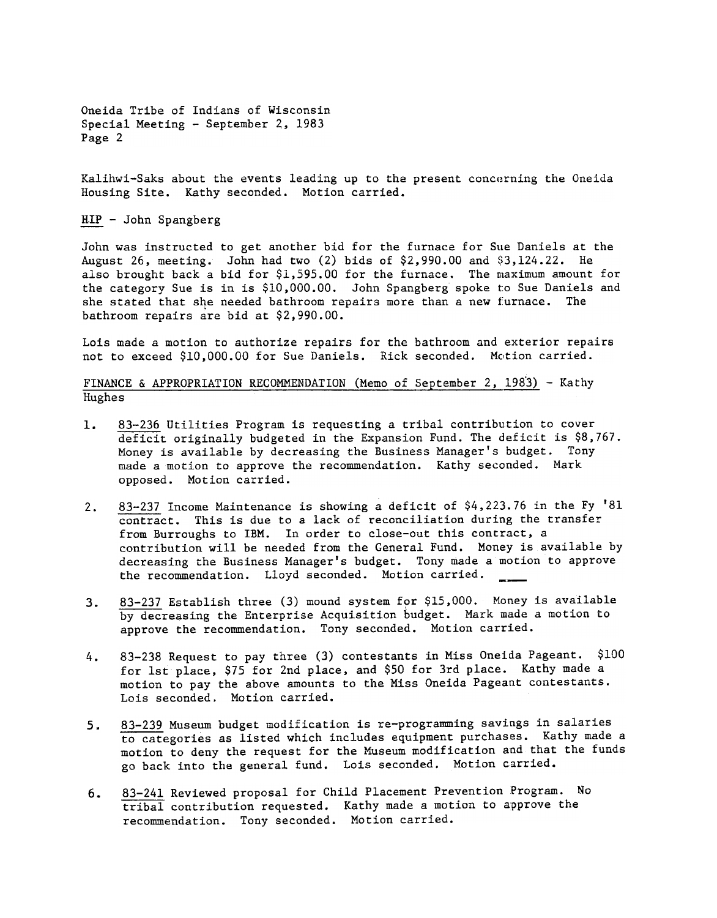Oneida Tribe of Indians of Wisconsin Special Meeting - September 2, 1983 Page 2

Kalihwi-Saks about the events leading up to the present concerning the Oneida Housing Site. Kathy seconded. Motion carried.

 $HIP - John Spangberg$ 

John was instructed to get another bid for the furnace for Sue Daniels at the August 26, meeting. John had two  $(2)$  bids of \$2.990.00 and \$3.124.22. He also brought back a bid for  $$1,595.00$  for the furnace. The maximum amount for the category Sue is in is \$10,000.00. John Spangberg spoke to Sue Daniels and she stated that she needed bathroom repairs more than a new furnace. The bathroom repairs are bid at \$2.990.00.

Lois made a motion to authorize repairs for the bathroom and exterior repairs not to exceed \$10,000.00 for Sue Daniels. Rick seconded. Motion carried.

FINANCE & APPROPRIATION RECOMMENDATION (Memo of September 2, 1983) - Kathy Hughes

- 83-236 Utilities Program is requesting a tribal contribution to cover 1. deficit originally budgeted in the Expansion Fund. The deficit is \$8,767. Money is available by decreasing the Business Manager's budget. Tony made a motion to approve the recommendation. Kathy seconded. Mark opposed. Motion carried.
- 2.  $\frac{83-237}{\text{control}}$  Income Maintenance is showing a deficit of \$4,223.76 in the Fy '8<br>
from burvoughs to IBM. In order to close-out this contract, a<br>
from burvoughs to IBM. In order to close-out this contents, a<br>
contrib contract. This is due to a lack of reconciliation during the transfer from Burroughs to IBM. In order to close-out this contract, a contribution will be needed from the General Fund. Money is available by decreasing the Business Manager's budget. Tony made a motion to approve the recommendation. Lloyd seconded. Motion carried.
	- 83-237 Establish three (3) mound system for \$15,000. Money is available by decreasing the Enterprise Acquisition budget. Mark made a motion to approve the recommendation. Tony seconded. Motion carried.
- 3.238 Request to pay three (3) contestants in Miss Oneida Pageant. \$100 for the pace, and \$50 for 2nd place. Kathy made a motion to pay the above amounts to the Miss Oneida Pageant contestants. Lois seconded. Motion carrie for 1st place, \$75 for 2nd place, and \$50 for 3rd place. Kathy made a motion to pay the above amounts to the Miss Oneida Pageant contestants. Lois seconded. Motion carried. 4.
	- 83-239 Museum budget modification is re-programming savings in salaries to categories as listed which includes equipment purchases. Kathy made a motion to deny the request for the Museum modification and that the funds go back into the general fund. Lois seconded. Motion carried.
- 6.  $83-241$  Reviewed proposal for Child Placement Prevention Program<br>tribal contribution requested. Kathy made a motion to approve<br>recommendation. Tony seconded. Motion carried. 83-241 Reviewed proposal for Child Placement Prevention Program. No<br>tribal contribution requested. Kathy made a motion to approve the recommendation. Tony seconded. Motion carried.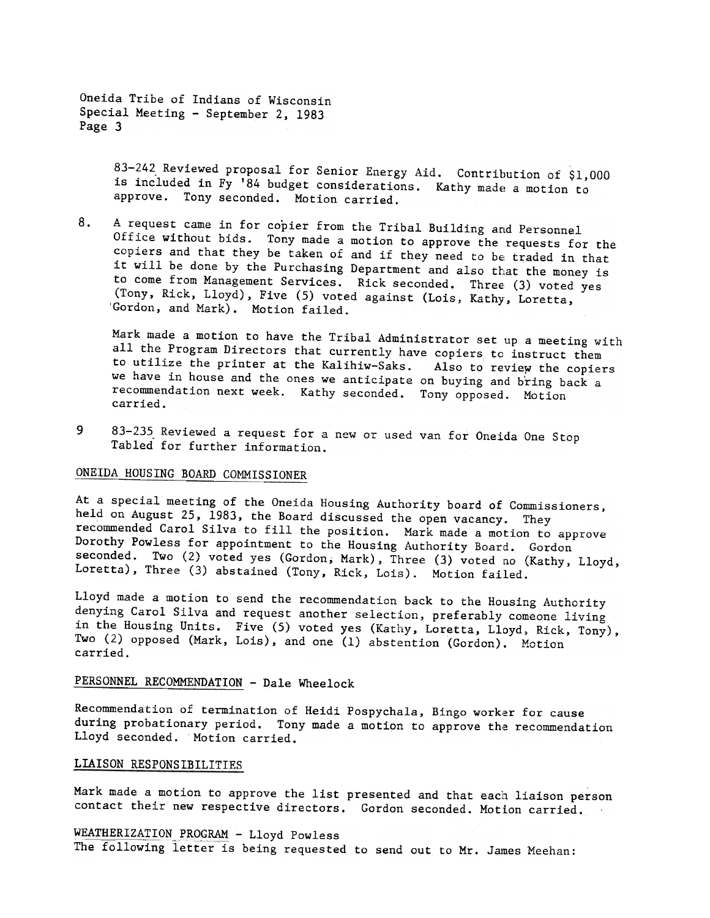Oneida Tribe of Indjans of Wisconsin Special Meeting - September 2, 1983 Page 3

> 83-242 Reviewed proposal for Senior Energy Aid. Contribution of \$1,000 is included in  $\overline{Fy}$  '84 budget considerations. Kathy made a motion to approve. Tony seconded. Motion carried.

A request came in for copier from the Tribal Building and Personnel 8. Office without bids. Tony made a motion to approve the requests for the copiers and that they be taken of and if they need to be traded in that it will be done by the Purchasing Department and also that the money is to come from Management Services. Rick seconded. Three (3) voted yes (Tony, Rick, Lloyd), Five (5) voted against (Lois, Kathy, Loretta, 'Gordon, and Mark). Motion failed.

Mark made a motion to have the Tribal Administrator set up a meeting with all the Program Directors that currently have copiers to instruct them to utilize the printer at the Kalihiw-Saks. Also to review the copiers we have in house and the ones we anticipate on buying and bring back a recommendation next week. Kathy seconded. Tony opposed. Motion carried.

9 83-235 Reviewed a request for a new or used van for Oneida One Stop Tabled for further information.

# ONEIDA HOUSING BOARD COMMISSIONER

At a special meeting of the Oneida Housing Authority board of Commissioners, held on August 25, 1983, the Board discussed the open vacancy. They recommended Carol Silva to fill the position. Mark made a motion to approve Dorothy Powless for appointment to the Housing Authority Board. Gordon seconded. Two (2) voted yes (Gordon, Mark), Three (3) voted no (Kathy, Lloyd, Loretta), Three (3) abstained (Tony. Rick. Lois). Motion failed.

Lloyd made a motion to send the recommendation back to the Housing Authority denying Carol Silva and request another selection, preferably comeone living in the Housing Units. Five (5) voted yes (Kathy, Loretta, Lloyd, Rick, Tony), Two (2) opposed (Mark. Lois), and one (1) abstention (Gordon). Motion carried.

# PERSONNEL RECOMMENDATION - Dale Wheelock

Recommendation of termination of Heidi Pospychala, Bingo worker for cause during probationary period. Tony made a motion to approve the recommendation Lloyd seconded. Motion carried.

### LIAISON RESPONSIBILITIES

Mark made a motion to approve the list presented and that each liaison person contact their new respective directors. Gordon seconded. Motion carried.

WEATHERIZATION PROGRAM - Lloyd Powless The following letter is being requested to send out to Mr. James Meehan: